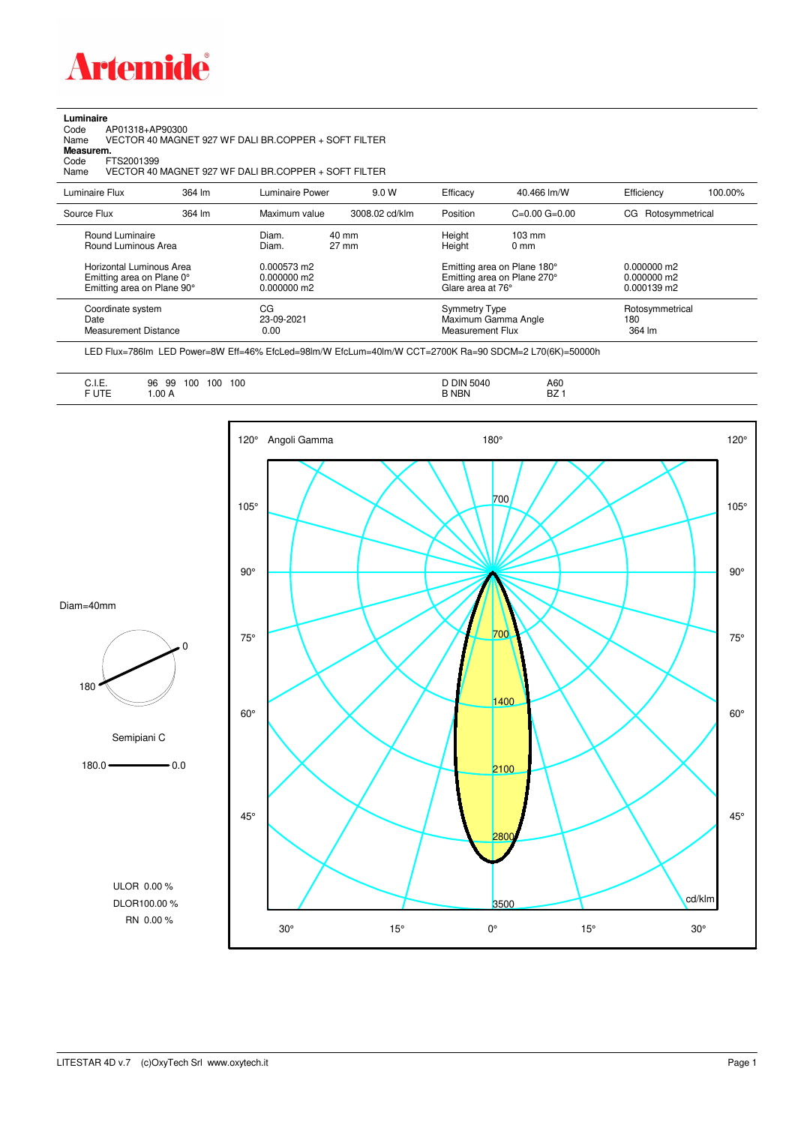

## **Luminaire**<br>Code /<br>Name

Code AP01318+AP90300 Name VECTOR 40 MAGNET 927 WF DALI BR.COPPER + SOFT FILTER

**Measurem.**

Code FTS2001399<br>Name VECTOR 40 Name VECTOR 40 MAGNET 927 WF DALI BR.COPPER + SOFT FILTER

| Luminaire Flux                                                                                                                | 364 lm | Luminaire Power                                                 | 9.0 W                    | Efficacy                                 | 40.466 lm/W                                                                                      | Efficiency                                             | 100.00% |
|-------------------------------------------------------------------------------------------------------------------------------|--------|-----------------------------------------------------------------|--------------------------|------------------------------------------|--------------------------------------------------------------------------------------------------|--------------------------------------------------------|---------|
| Source Flux                                                                                                                   | 364 lm | Maximum value                                                   | 3008.02 cd/klm           | Position                                 | $C=0.00$ $G=0.00$                                                                                | CG Rotosymmetrical                                     |         |
| Round Luminaire<br>Round Luminous Area<br>Horizontal Luminous Area<br>Emitting area on Plane 0°<br>Emitting area on Plane 90° |        | Diam.<br>Diam.<br>0.000573 m2<br>$0.000000$ m2<br>$0.000000$ m2 | 40 mm<br>$27 \text{ mm}$ | Height<br>Height<br>Glare area at 76°    | $103 \text{ mm}$<br>$0 \text{ mm}$<br>Emitting area on Plane 180°<br>Emitting area on Plane 270° | $0.000000$ m2<br>$0.000000$ m2<br>$0.000139 \text{ m}$ |         |
| Coordinate system<br>Date<br><b>Measurement Distance</b>                                                                      |        | CG<br>23-09-2021<br>0.00                                        |                          | <b>Symmetry Type</b><br>Measurement Flux | Maximum Gamma Angle                                                                              | Rotosymmetrical<br>180<br>364 lm                       |         |

LED Flux=786lm LED Power=8W Eff=46% EfcLed=98lm/W EfcLum=40lm/W CCT=2700K Ra=90 SDCM=2 L70(6K)=50000h

| . | --<br>100<br>100<br>96<br>99<br>- <b>.</b> .<br>F UTE<br>.00A | <b>DIN</b><br>100<br>15040<br><b>B NBN</b> | A60<br>$\overline{\phantom{a}}$<br>DZ. |
|---|---------------------------------------------------------------|--------------------------------------------|----------------------------------------|
|---|---------------------------------------------------------------|--------------------------------------------|----------------------------------------|